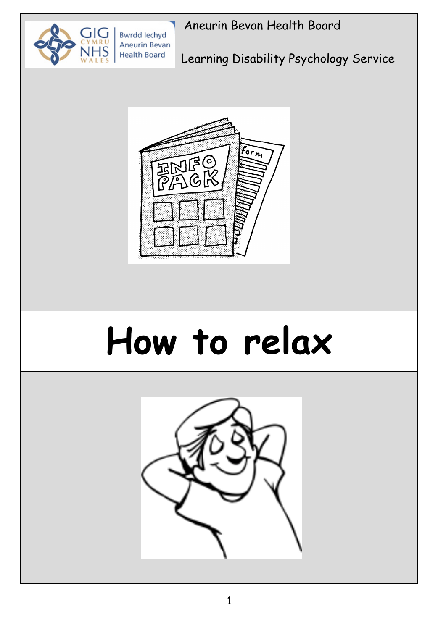

**Aneurin Bevan Health Board** 

Learning Disability Psychology Service



# **How to relax**

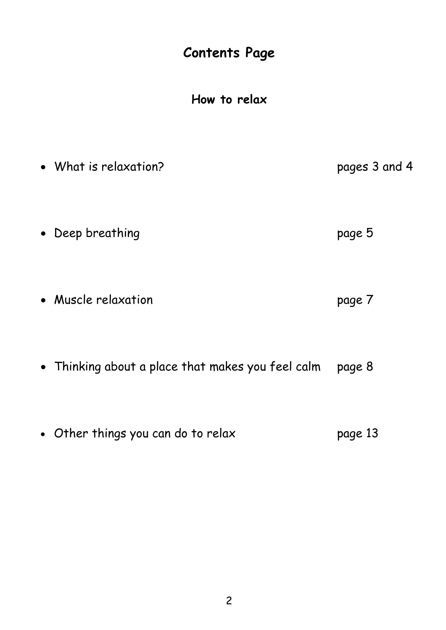#### **Contents Page**

**How to relax**

- What is relaxation? pages 3 and 4
- Deep breathing extensive page 5
- Muscle relaxation **page 7**
- Thinking about a place that makes you feel calm page 8
- Other things you can do to relax page 13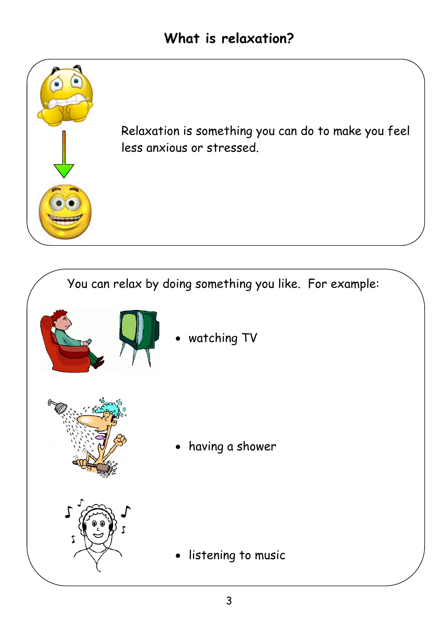

Relaxation is something you can do to make you feel less anxious or stressed.

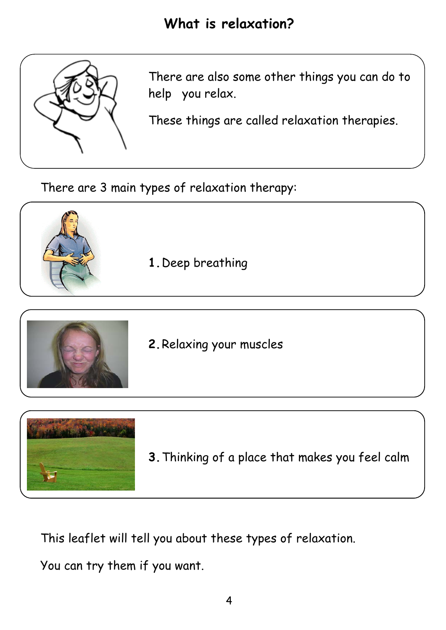

There are also some other things you can do to help you relax.

These things are called relaxation therapies.

There are 3 main types of relaxation therapy:





**2.**Relaxing your muscles



**3.**Thinking of a place that makes you feel calm

This leaflet will tell you about these types of relaxation.

You can try them if you want.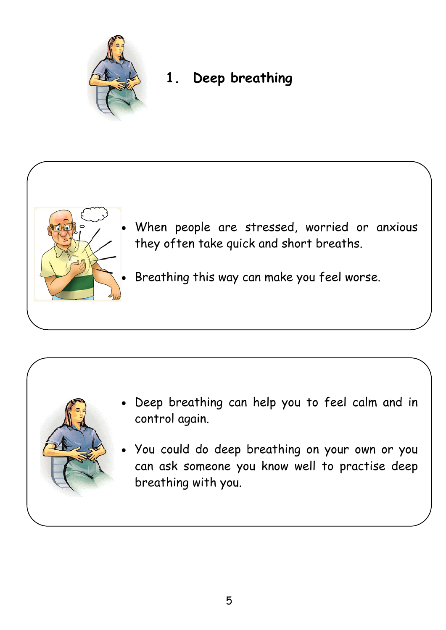

#### **1. Deep breathing**



- When people are stressed, worried or anxious they often take quick and short breaths.
	- Breathing this way can make you feel worse.



- Deep breathing can help you to feel calm and in control again.
- You could do deep breathing on your own or you can ask someone you know well to practise deep breathing with you.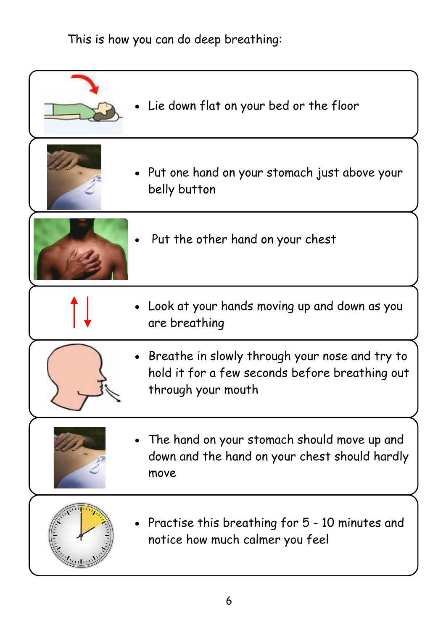This is how you can do deep breathing:

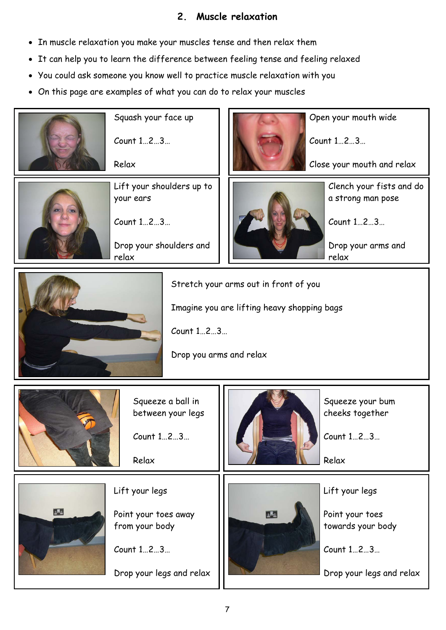7

Open your mouth wide

Count 1…2…3…

Close your mouth and relax



Squash your face up

Count 1…2…3…

Relax



Count 1…2…3…

Drop your shoulders and relax



Clench your fists and do a strong man pose

Count 1…2…3…

Drop your arms and relax



Squeeze your bum cheeks together

Count 1…2…3…

Relax

Squeeze a ball in between your legs

 $Count 1...2...3...$ 

Relax





#### Lift your legs

Point your toes away from your body

Count 1…2…3…

Drop your legs and relax



Lift your legs

Point your toes towards your body

Count 1…2…3…

Drop your legs and relax

#### **2. Muscle relaxation**

- In muscle relaxation you make your muscles tense and then relax them
- It can help you to learn the difference between feeling tense and feeling relaxed
- You could ask someone you know well to practice muscle relaxation with you
- On this page are examples of what you can do to relax your muscles



Stretch your arms out in front of you

Imagine you are lifting heavy shopping bags

Count 1…2…3…

Drop you arms and relax

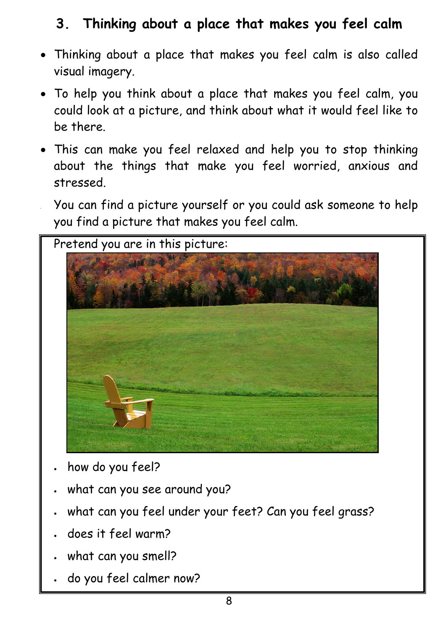# **3. Thinking about a place that makes you feel calm**

- Thinking about a place that makes you feel calm is also called visual imagery.
- To help you think about a place that makes you feel calm, you could look at a picture, and think about what it would feel like to be there.
- This can make you feel relaxed and help you to stop thinking about the things that make you feel worried, anxious and stressed.
	- You can find a picture yourself or you could ask someone to help you find a picture that makes you feel calm.



- how do you feel?
- what can you see around you?
- what can you feel under your feet? Can you feel grass?
- does it feel warm?
- what can you smell?
- do you feel calmer now?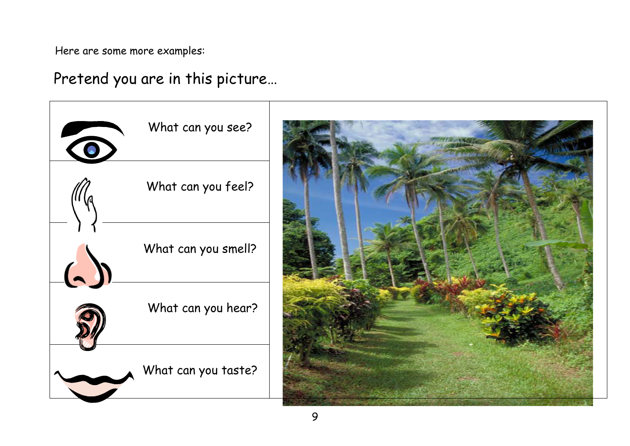Here are some more examples:



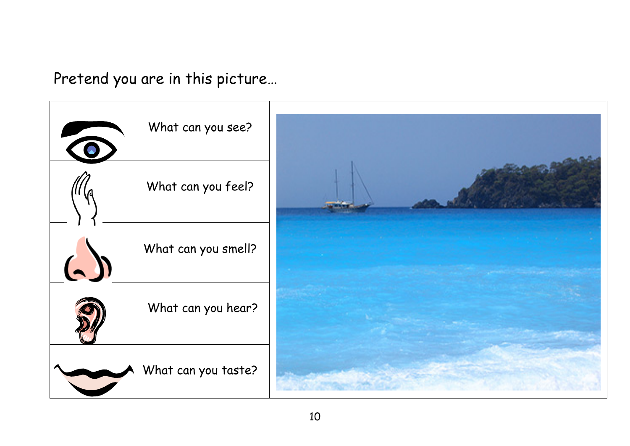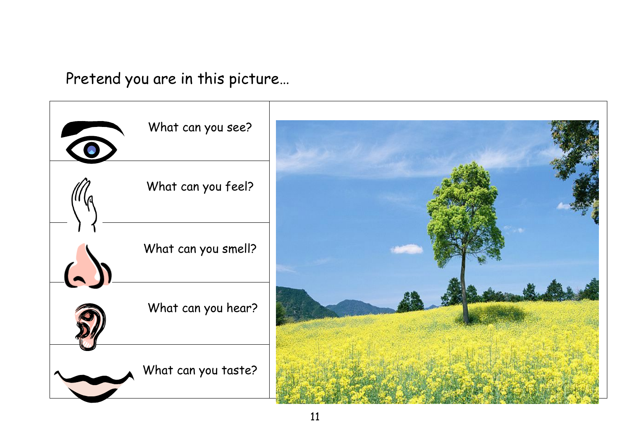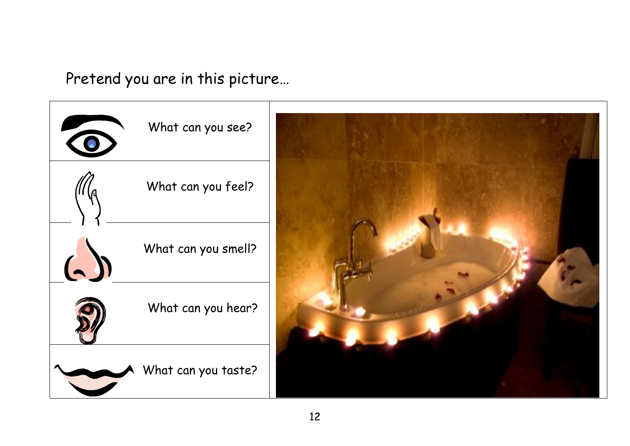